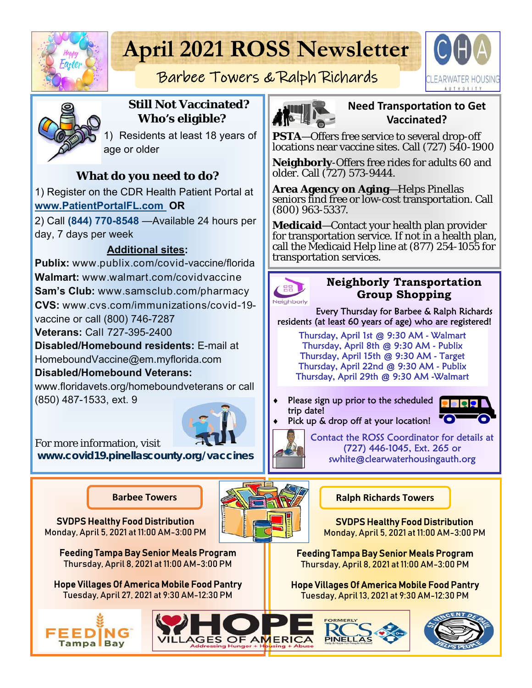

# **April 2021 ROSS Newsletter**



# Barbee Towers & Ralph Richards



#### **Still Not Vaccinated? Who's eligible?**

1) Residents at least 18 years of age or older

# **What do you need to do?**

1) Register on the CDR Health Patient Portal at **www.PatientPortalFL.com OR** 

2) Call **(844) 770-8548** —Available 24 hours per day, 7 days per week

## **Additional sites:**

**Publix:** www.publix.com/covid-vaccine/florida **Walmart:** www.walmart.com/covidvaccine **Sam's Club:** www.samsclub.com/pharmacy **CVS:** www.cvs.com/immunizations/covid-19 vaccine or call (800) 746-7287

**Veterans:** Call 727-395-2400

**Disabled/Homebound residents:** E-mail at

HomeboundVaccine@em.myflorida.com

#### **Disabled/Homebound Veterans:**

www.floridavets.org/homeboundveterans or call (850) 487-1533, ext. 9



For more information, visit **www.covid19.pinellascounty.org/vaccines**

SVDPS Healthy Food Distribution Monday, April 5, 2021 at 11:00 AM-3:00 PM

> Feeding Tampa Bay Senior Meals Program Thursday, April 8, 2021 at 11:00 AM-3:00 PM

Hope Villages Of America Mobile Food Pantry Tuesday, April 27, 2021 at 9:30 AM-12:30 PM





#### **Need TransportaƟon to Get Vaccinated?**

**PSTA**—Offers free service to several drop-off locations near vaccine sites. Call (727) 540-1900

**Neighborly**-Offers free rides for adults 60 and older. Call (727) 573-9444.

**Area Agency on Aging**—Helps Pinellas seniors find free or low-cost transportation. Call (800) 963-5337.

**Medicaid**—Contact your health plan provider for transportation service. If not in a health plan, call the Medicaid Help line at (877) 254-1055 for transportation services.



#### **Neighborly Transportation Group Shopping**

Every Thursday for Barbee & Ralph Richards residents (at least 60 years of age) who are registered!

Thursday, April 1st @ 9:30 AM - Walmart Thursday, April 8th @ 9:30 AM - Publix Thursday, April 15th @ 9:30 AM - Target Thursday, April 22nd @ 9:30 AM - Publix Thursday, April 29th @ 9:30 AM -Walmart

 Please sign up prior to the scheduled trip date!



Pick up & drop off at your location!

Contact the ROSS Coordinator for details at (727) 446-1045, Ext. 265 or swhite@clearwaterhousingauth.org

#### **Barbee Towers Ralph Richards Towers**

SVDPS Healthy Food Distribution Monday, April 5, 2021 at 11:00 AM-3:00 PM

Feeding Tampa Bay Senior Meals Program Thursday, April 8, 2021 at 11:00 AM-3:00 PM

Hope Villages Of America Mobile Food Pantry Tuesday, April 13, 2021 at 9:30 AM-12:30 PM